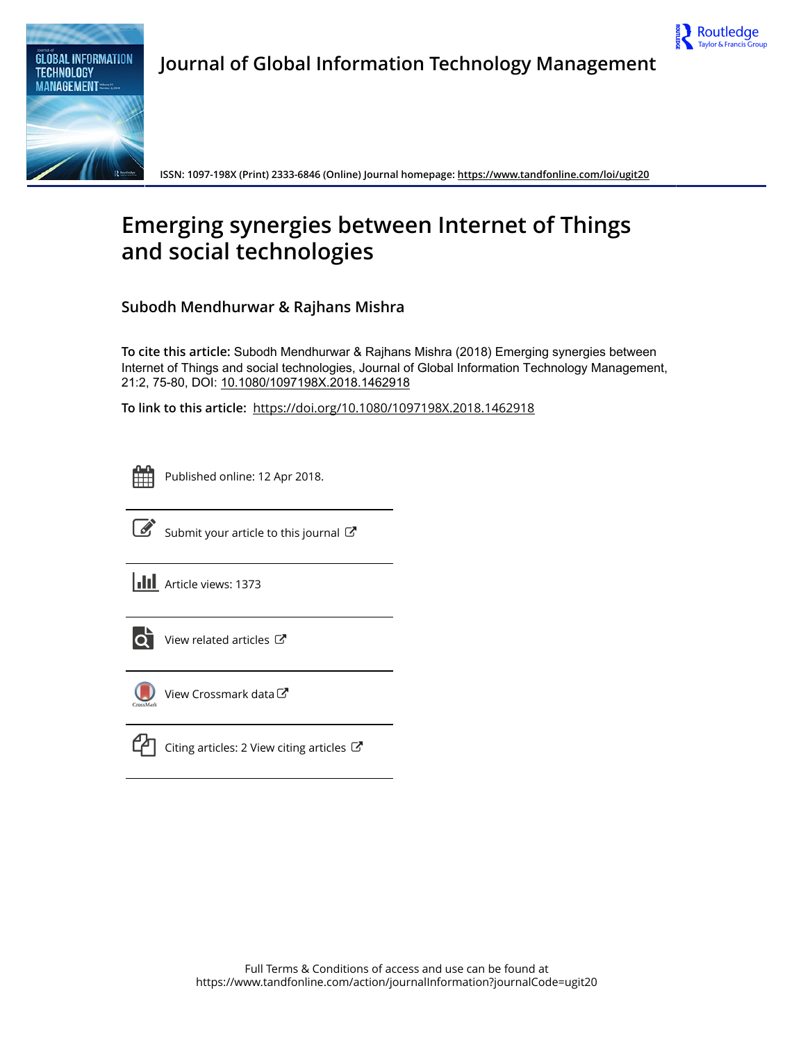

**Journal of Global Information Technology Management**



**ISSN: 1097-198X (Print) 2333-6846 (Online) Journal homepage: <https://www.tandfonline.com/loi/ugit20>**

# **Emerging synergies between Internet of Things and social technologies**

**Subodh Mendhurwar & Rajhans Mishra**

**To cite this article:** Subodh Mendhurwar & Rajhans Mishra (2018) Emerging synergies between Internet of Things and social technologies, Journal of Global Information Technology Management, 21:2, 75-80, DOI: [10.1080/1097198X.2018.1462918](https://www.tandfonline.com/action/showCitFormats?doi=10.1080/1097198X.2018.1462918)

**To link to this article:** <https://doi.org/10.1080/1097198X.2018.1462918>

Published online: 12 Apr 2018.



 $\overrightarrow{S}$  [Submit your article to this journal](https://www.tandfonline.com/action/authorSubmission?journalCode=ugit20&show=instructions)  $\overrightarrow{S}$ 

**III** Article views: 1373



[View related articles](https://www.tandfonline.com/doi/mlt/10.1080/1097198X.2018.1462918)  $\mathbb{Z}$ 



[View Crossmark data](http://crossmark.crossref.org/dialog/?doi=10.1080/1097198X.2018.1462918&domain=pdf&date_stamp=2018-04-12) $\mathbb{Z}$ 

[Citing articles: 2 View citing articles](https://www.tandfonline.com/doi/citedby/10.1080/1097198X.2018.1462918#tabModule)  $\mathbb{Z}$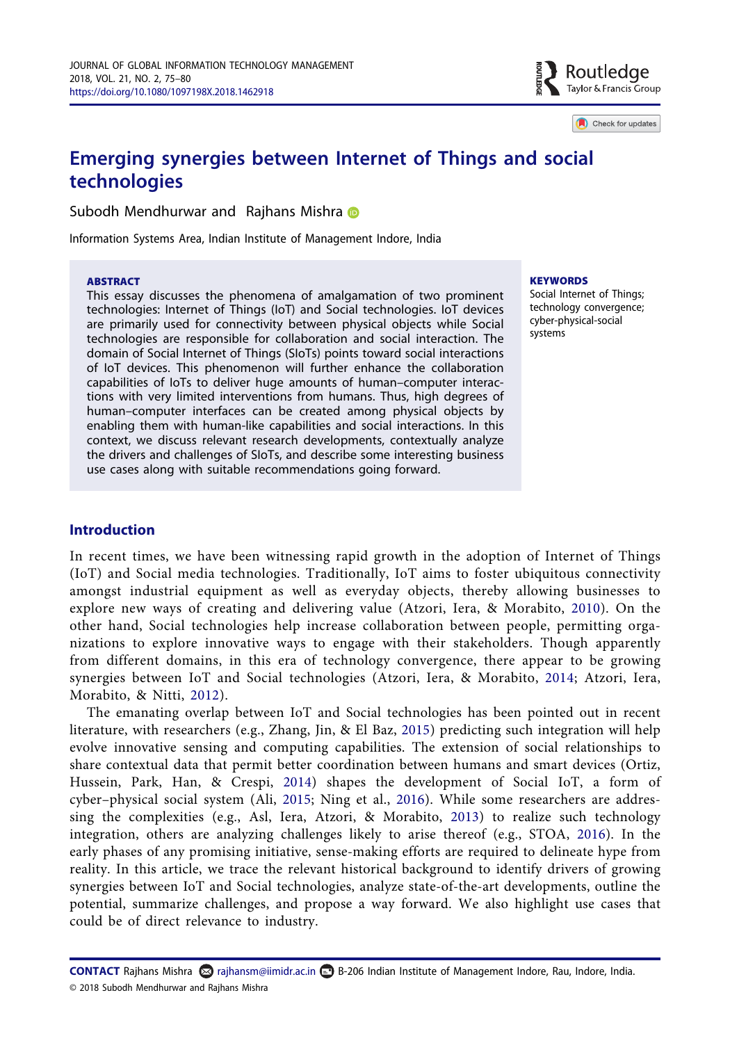$\blacktriangleright$  Routledge Taylor & Francis Group

Check for updates

# Emerging synergies between Internet of Things and social technologies

Subodh Mendhurwar and Rajhans Mishra

Information Systems Area, Indian Institute of Management Indore, India

#### ABSTRACT

This essay discusses the phenomena of amalgamation of two prominent technologies: Internet of Things (IoT) and Social technologies. IoT devices are primarily used for connectivity between physical objects while Social technologies are responsible for collaboration and social interaction. The domain of Social Internet of Things (SIoTs) points toward social interactions of IoT devices. This phenomenon will further enhance the collaboration capabilities of IoTs to deliver huge amounts of human–computer interactions with very limited interventions from humans. Thus, high degrees of human–computer interfaces can be created among physical objects by enabling them with human-like capabilities and social interactions. In this context, we discuss relevant research developments, contextually analyze the drivers and challenges of SIoTs, and describe some interesting business use cases along with suitable recommendations going forward.

#### **KEYWORDS**

Social Internet of Things; technology convergence; cyber-physical-social systems

## Introduction

<span id="page-1-2"></span>In recent times, we have been witnessing rapid growth in the adoption of Internet of Things (IoT) and Social media technologies. Traditionally, IoT aims to foster ubiquitous connectivity amongst industrial equipment as well as everyday objects, thereby allowing businesses to explore new ways of creating and delivering value (Atzori, Iera, & Morabito, [2010](#page-5-0)). On the other hand, Social technologies help increase collaboration between people, permitting organizations to explore innovative ways to engage with their stakeholders. Though apparently from different domains, in this era of technology convergence, there appear to be growing synergies between IoT and Social technologies (Atzori, Iera, & Morabito, [2014](#page-5-1); Atzori, Iera, Morabito, & Nitti, [2012](#page-5-2)).

<span id="page-1-7"></span><span id="page-1-6"></span><span id="page-1-5"></span><span id="page-1-4"></span><span id="page-1-3"></span><span id="page-1-1"></span><span id="page-1-0"></span>The emanating overlap between IoT and Social technologies has been pointed out in recent literature, with researchers (e.g., Zhang, Jin, & El Baz, [2015\)](#page-6-0) predicting such integration will help evolve innovative sensing and computing capabilities. The extension of social relationships to share contextual data that permit better coordination between humans and smart devices (Ortiz, Hussein, Park, Han, & Crespi, [2014](#page-6-1)) shapes the development of Social IoT, a form of cyber–physical social system (Ali, [2015;](#page-5-3) Ning et al., [2016](#page-6-2)). While some researchers are addressing the complexities (e.g., Asl, Iera, Atzori, & Morabito, [2013\)](#page-5-4) to realize such technology integration, others are analyzing challenges likely to arise thereof (e.g., STOA, [2016](#page-6-3)). In the early phases of any promising initiative, sense-making efforts are required to delineate hype from reality. In this article, we trace the relevant historical background to identify drivers of growing synergies between IoT and Social technologies, analyze state-of-the-art developments, outline the potential, summarize challenges, and propose a way forward. We also highlight use cases that could be of direct relevance to industry.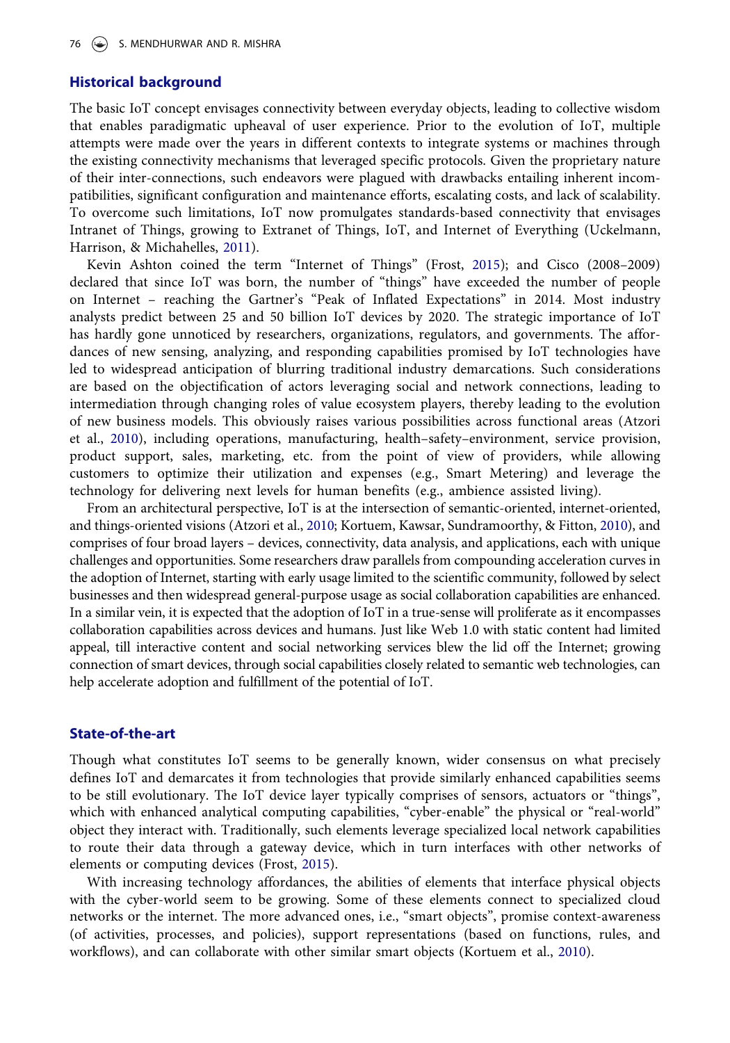#### Historical background

The basic IoT concept envisages connectivity between everyday objects, leading to collective wisdom that enables paradigmatic upheaval of user experience. Prior to the evolution of IoT, multiple attempts were made over the years in different contexts to integrate systems or machines through the existing connectivity mechanisms that leveraged specific protocols. Given the proprietary nature of their inter-connections, such endeavors were plagued with drawbacks entailing inherent incompatibilities, significant configuration and maintenance efforts, escalating costs, and lack of scalability. To overcome such limitations, IoT now promulgates standards-based connectivity that envisages Intranet of Things, growing to Extranet of Things, IoT, and Internet of Everything (Uckelmann, Harrison, & Michahelles, [2011](#page-6-4)).

<span id="page-2-2"></span>Kevin Ashton coined the term "Internet of Things" (Frost, [2015](#page-5-5)); and Cisco (2008–2009) declared that since IoT was born, the number of "things" have exceeded the number of people on Internet – reaching the Gartner's "Peak of Inflated Expectations" in 2014. Most industry analysts predict between 25 and 50 billion IoT devices by 2020. The strategic importance of IoT has hardly gone unnoticed by researchers, organizations, regulators, and governments. The affordances of new sensing, analyzing, and responding capabilities promised by IoT technologies have led to widespread anticipation of blurring traditional industry demarcations. Such considerations are based on the objectification of actors leveraging social and network connections, leading to intermediation through changing roles of value ecosystem players, thereby leading to the evolution of new business models. This obviously raises various possibilities across functional areas (Atzori et al., [2010\)](#page-5-0), including operations, manufacturing, health–safety–environment, service provision, product support, sales, marketing, etc. from the point of view of providers, while allowing customers to optimize their utilization and expenses (e.g., Smart Metering) and leverage the technology for delivering next levels for human benefits (e.g., ambience assisted living).

From an architectural perspective, IoT is at the intersection of semantic-oriented, internet-oriented, and things-oriented visions (Atzori et al., [2010;](#page-5-0) Kortuem, Kawsar, Sundramoorthy, & Fitton, [2010](#page-5-6)), and comprises of four broad layers – devices, connectivity, data analysis, and applications, each with unique challenges and opportunities. Some researchers draw parallels from compounding acceleration curves in the adoption of Internet, starting with early usage limited to the scientific community, followed by select businesses and then widespread general-purpose usage as social collaboration capabilities are enhanced. In a similar vein, it is expected that the adoption of IoT in a true-sense will proliferate as it encompasses collaboration capabilities across devices and humans. Just like Web 1.0 with static content had limited appeal, till interactive content and social networking services blew the lid off the Internet; growing connection of smart devices, through social capabilities closely related to semantic web technologies, can help accelerate adoption and fulfillment of the potential of IoT.

#### State-of-the-art

Though what constitutes IoT seems to be generally known, wider consensus on what precisely defines IoT and demarcates it from technologies that provide similarly enhanced capabilities seems to be still evolutionary. The IoT device layer typically comprises of sensors, actuators or "things", which with enhanced analytical computing capabilities, "cyber-enable" the physical or "real-world" object they interact with. Traditionally, such elements leverage specialized local network capabilities to route their data through a gateway device, which in turn interfaces with other networks of elements or computing devices (Frost, [2015\)](#page-5-5).

<span id="page-2-1"></span><span id="page-2-0"></span>With increasing technology affordances, the abilities of elements that interface physical objects with the cyber-world seem to be growing. Some of these elements connect to specialized cloud networks or the internet. The more advanced ones, i.e., "smart objects", promise context-awareness (of activities, processes, and policies), support representations (based on functions, rules, and workflows), and can collaborate with other similar smart objects (Kortuem et al., [2010\)](#page-5-6).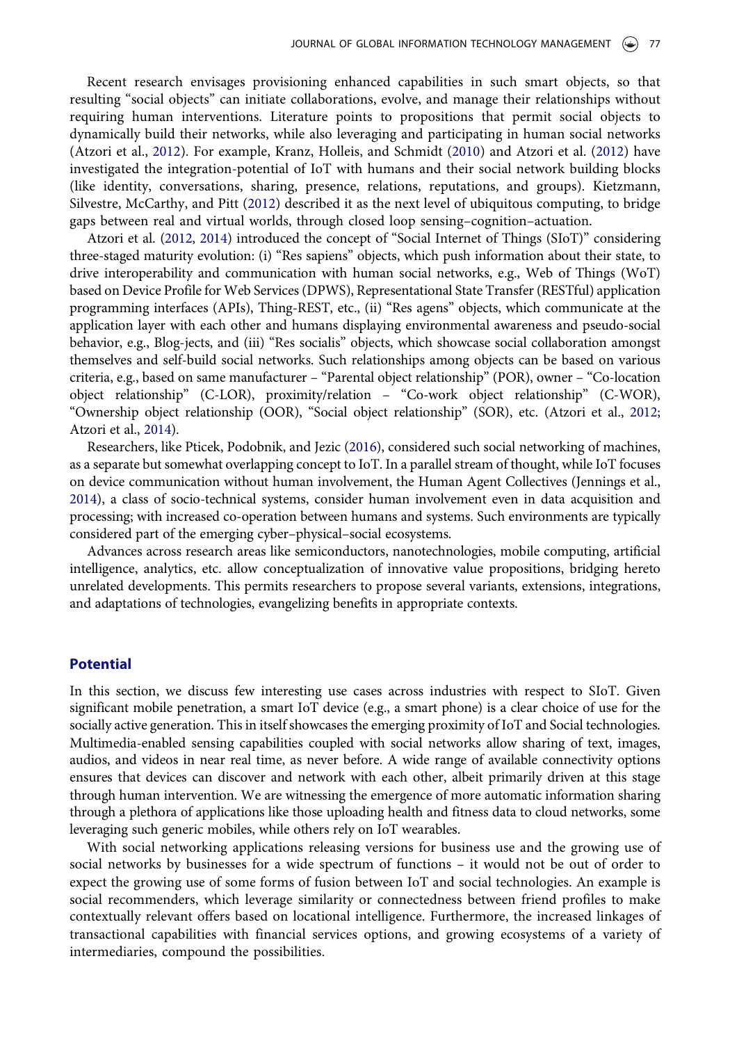<span id="page-3-2"></span>Recent research envisages provisioning enhanced capabilities in such smart objects, so that resulting "social objects" can initiate collaborations, evolve, and manage their relationships without requiring human interventions. Literature points to propositions that permit social objects to dynamically build their networks, while also leveraging and participating in human social networks (Atzori et al., [2012\)](#page-5-2). For example, Kranz, Holleis, and Schmidt [\(2010](#page-6-5)) and Atzori et al. ([2012\)](#page-5-2) have investigated the integration-potential of IoT with humans and their social network building blocks (like identity, conversations, sharing, presence, relations, reputations, and groups). Kietzmann, Silvestre, McCarthy, and Pitt [\(2012](#page-5-7)) described it as the next level of ubiquitous computing, to bridge gaps between real and virtual worlds, through closed loop sensing–cognition–actuation.

<span id="page-3-1"></span>Atzori et al. ([2012,](#page-5-2) [2014\)](#page-5-1) introduced the concept of "Social Internet of Things (SIoT)" considering three-staged maturity evolution: (i) "Res sapiens" objects, which push information about their state, to drive interoperability and communication with human social networks, e.g., Web of Things (WoT) based on Device Profile for Web Services (DPWS), Representational State Transfer (RESTful) application programming interfaces (APIs), Thing-REST, etc., (ii) "Res agens" objects, which communicate at the application layer with each other and humans displaying environmental awareness and pseudo-social behavior, e.g., Blog-jects, and (iii) "Res socialis" objects, which showcase social collaboration amongst themselves and self-build social networks. Such relationships among objects can be based on various criteria, e.g., based on same manufacturer – "Parental object relationship" (POR), owner – "Co-location object relationship" (C-LOR), proximity/relation – "Co-work object relationship" (C-WOR), "Ownership object relationship (OOR), "Social object relationship" (SOR), etc. (Atzori et al., [2012;](#page-5-2) Atzori et al., [2014](#page-5-1)).

<span id="page-3-3"></span><span id="page-3-0"></span>Researchers, like Pticek, Podobnik, and Jezic [\(2016\)](#page-6-6), considered such social networking of machines, as a separate but somewhat overlapping concept to IoT. In a parallel stream of thought, while IoT focuses on device communication without human involvement, the Human Agent Collectives (Jennings et al., [2014\)](#page-5-8), a class of socio-technical systems, consider human involvement even in data acquisition and processing; with increased co-operation between humans and systems. Such environments are typically considered part of the emerging cyber–physical–social ecosystems.

Advances across research areas like semiconductors, nanotechnologies, mobile computing, artificial intelligence, analytics, etc. allow conceptualization of innovative value propositions, bridging hereto unrelated developments. This permits researchers to propose several variants, extensions, integrations, and adaptations of technologies, evangelizing benefits in appropriate contexts.

#### Potential

In this section, we discuss few interesting use cases across industries with respect to SIoT. Given significant mobile penetration, a smart IoT device (e.g., a smart phone) is a clear choice of use for the socially active generation. This in itself showcases the emerging proximity of IoT and Social technologies. Multimedia-enabled sensing capabilities coupled with social networks allow sharing of text, images, audios, and videos in near real time, as never before. A wide range of available connectivity options ensures that devices can discover and network with each other, albeit primarily driven at this stage through human intervention. We are witnessing the emergence of more automatic information sharing through a plethora of applications like those uploading health and fitness data to cloud networks, some leveraging such generic mobiles, while others rely on IoT wearables.

With social networking applications releasing versions for business use and the growing use of social networks by businesses for a wide spectrum of functions – it would not be out of order to expect the growing use of some forms of fusion between IoT and social technologies. An example is social recommenders, which leverage similarity or connectedness between friend profiles to make contextually relevant offers based on locational intelligence. Furthermore, the increased linkages of transactional capabilities with financial services options, and growing ecosystems of a variety of intermediaries, compound the possibilities.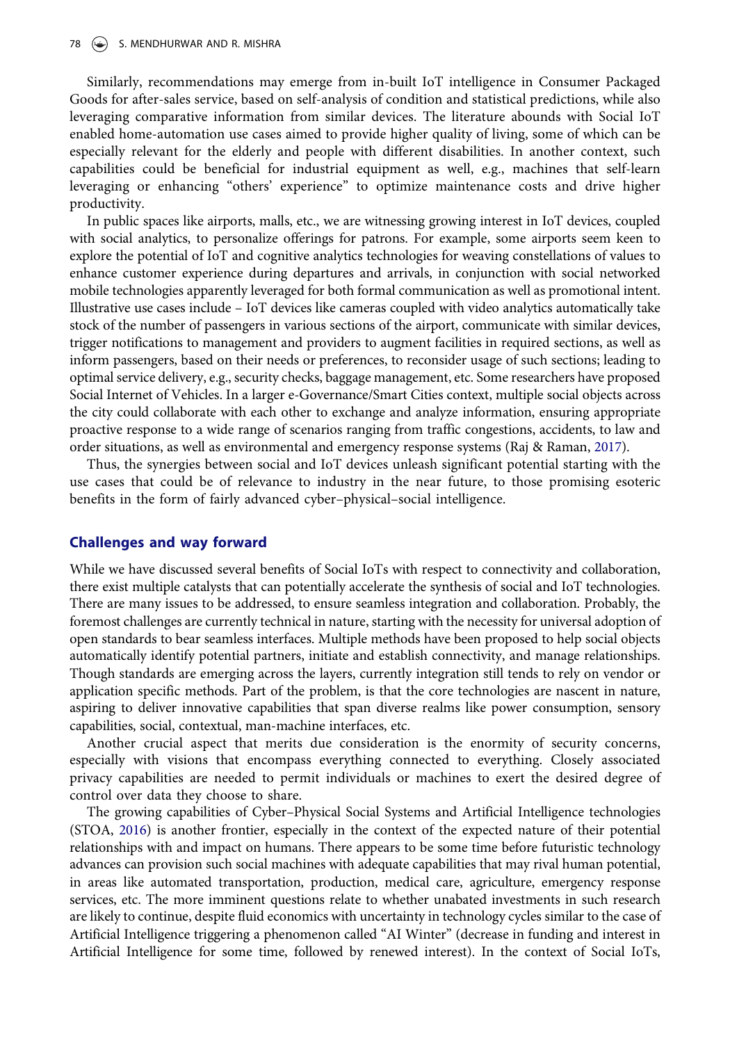Similarly, recommendations may emerge from in-built IoT intelligence in Consumer Packaged Goods for after-sales service, based on self-analysis of condition and statistical predictions, while also leveraging comparative information from similar devices. The literature abounds with Social IoT enabled home-automation use cases aimed to provide higher quality of living, some of which can be especially relevant for the elderly and people with different disabilities. In another context, such capabilities could be beneficial for industrial equipment as well, e.g., machines that self-learn leveraging or enhancing "others' experience" to optimize maintenance costs and drive higher productivity.

In public spaces like airports, malls, etc., we are witnessing growing interest in IoT devices, coupled with social analytics, to personalize offerings for patrons. For example, some airports seem keen to explore the potential of IoT and cognitive analytics technologies for weaving constellations of values to enhance customer experience during departures and arrivals, in conjunction with social networked mobile technologies apparently leveraged for both formal communication as well as promotional intent. Illustrative use cases include – IoT devices like cameras coupled with video analytics automatically take stock of the number of passengers in various sections of the airport, communicate with similar devices, trigger notifications to management and providers to augment facilities in required sections, as well as inform passengers, based on their needs or preferences, to reconsider usage of such sections; leading to optimal service delivery, e.g., security checks, baggage management, etc. Some researchers have proposed Social Internet of Vehicles. In a larger e-Governance/Smart Cities context, multiple social objects across the city could collaborate with each other to exchange and analyze information, ensuring appropriate proactive response to a wide range of scenarios ranging from traffic congestions, accidents, to law and order situations, as well as environmental and emergency response systems (Raj & Raman, [2017](#page-6-7)).

<span id="page-4-0"></span>Thus, the synergies between social and IoT devices unleash significant potential starting with the use cases that could be of relevance to industry in the near future, to those promising esoteric benefits in the form of fairly advanced cyber–physical–social intelligence.

#### Challenges and way forward

While we have discussed several benefits of Social IoTs with respect to connectivity and collaboration, there exist multiple catalysts that can potentially accelerate the synthesis of social and IoT technologies. There are many issues to be addressed, to ensure seamless integration and collaboration. Probably, the foremost challenges are currently technical in nature, starting with the necessity for universal adoption of open standards to bear seamless interfaces. Multiple methods have been proposed to help social objects automatically identify potential partners, initiate and establish connectivity, and manage relationships. Though standards are emerging across the layers, currently integration still tends to rely on vendor or application specific methods. Part of the problem, is that the core technologies are nascent in nature, aspiring to deliver innovative capabilities that span diverse realms like power consumption, sensory capabilities, social, contextual, man-machine interfaces, etc.

Another crucial aspect that merits due consideration is the enormity of security concerns, especially with visions that encompass everything connected to everything. Closely associated privacy capabilities are needed to permit individuals or machines to exert the desired degree of control over data they choose to share.

The growing capabilities of Cyber–Physical Social Systems and Artificial Intelligence technologies (STOA, [2016](#page-6-3)) is another frontier, especially in the context of the expected nature of their potential relationships with and impact on humans. There appears to be some time before futuristic technology advances can provision such social machines with adequate capabilities that may rival human potential, in areas like automated transportation, production, medical care, agriculture, emergency response services, etc. The more imminent questions relate to whether unabated investments in such research are likely to continue, despite fluid economics with uncertainty in technology cycles similar to the case of Artificial Intelligence triggering a phenomenon called "AI Winter" (decrease in funding and interest in Artificial Intelligence for some time, followed by renewed interest). In the context of Social IoTs,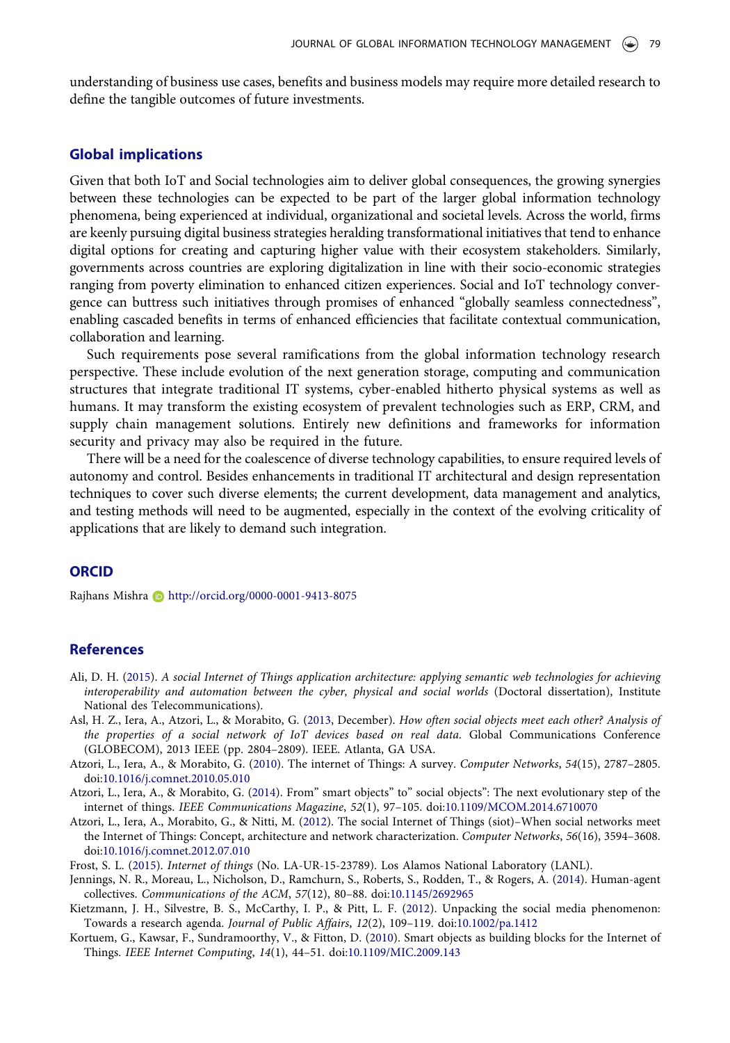understanding of business use cases, benefits and business models may require more detailed research to define the tangible outcomes of future investments.

## Global implications

Given that both IoT and Social technologies aim to deliver global consequences, the growing synergies between these technologies can be expected to be part of the larger global information technology phenomena, being experienced at individual, organizational and societal levels. Across the world, firms are keenly pursuing digital business strategies heralding transformational initiatives that tend to enhance digital options for creating and capturing higher value with their ecosystem stakeholders. Similarly, governments across countries are exploring digitalization in line with their socio-economic strategies ranging from poverty elimination to enhanced citizen experiences. Social and IoT technology convergence can buttress such initiatives through promises of enhanced "globally seamless connectedness", enabling cascaded benefits in terms of enhanced efficiencies that facilitate contextual communication, collaboration and learning.

Such requirements pose several ramifications from the global information technology research perspective. These include evolution of the next generation storage, computing and communication structures that integrate traditional IT systems, cyber-enabled hitherto physical systems as well as humans. It may transform the existing ecosystem of prevalent technologies such as ERP, CRM, and supply chain management solutions. Entirely new definitions and frameworks for information security and privacy may also be required in the future.

There will be a need for the coalescence of diverse technology capabilities, to ensure required levels of autonomy and control. Besides enhancements in traditional IT architectural and design representation techniques to cover such diverse elements; the current development, data management and analytics, and testing methods will need to be augmented, especially in the context of the evolving criticality of applications that are likely to demand such integration.

## **ORCID**

Rajhans Mishra Dhttp://orcid.org/0000-0001-9413-8075

#### References

- <span id="page-5-3"></span>Ali, D. H. ([2015\)](#page-1-0). A social Internet of Things application architecture: applying semantic web technologies for achieving interoperability and automation between the cyber, physical and social worlds (Doctoral dissertation), Institute National des Telecommunications).
- <span id="page-5-4"></span>Asl, H. Z., Iera, A., Atzori, L., & Morabito, G. [\(2013,](#page-1-1) December). How often social objects meet each other? Analysis of the properties of a social network of IoT devices based on real data. Global Communications Conference (GLOBECOM), 2013 IEEE (pp. 2804–2809). IEEE. Atlanta, GA USA.
- <span id="page-5-0"></span>Atzori, L., Iera, A., & Morabito, G. ([2010](#page-1-2)). The internet of Things: A survey. Computer Networks, 54(15), 2787–2805. doi[:10.1016/j.comnet.2010.05.010](http://dx.doi.org/10.1016/j.comnet.2010.05.010)
- <span id="page-5-1"></span>Atzori, L., Iera, A., & Morabito, G. [\(2014](#page-1-3)). From" smart objects" to" social objects": The next evolutionary step of the internet of things. IEEE Communications Magazine, 52(1), 97–105. doi[:10.1109/MCOM.2014.6710070](http://dx.doi.org/10.1109/MCOM.2014.6710070)
- <span id="page-5-2"></span>Atzori, L., Iera, A., Morabito, G., & Nitti, M. [\(2012\)](#page-1-4). The social Internet of Things (siot)–When social networks meet the Internet of Things: Concept, architecture and network characterization. Computer Networks, 56(16), 3594–3608. doi[:10.1016/j.comnet.2012.07.010](http://dx.doi.org/10.1016/j.comnet.2012.07.010)
- <span id="page-5-5"></span>Frost, S. L. [\(2015\)](#page-2-0). Internet of things (No. LA-UR-15-23789). Los Alamos National Laboratory (LANL).
- <span id="page-5-8"></span>Jennings, N. R., Moreau, L., Nicholson, D., Ramchurn, S., Roberts, S., Rodden, T., & Rogers, A. [\(2014\)](#page-3-0). Human-agent collectives. Communications of the ACM, 57(12), 80–88. doi[:10.1145/2692965](http://dx.doi.org/10.1145/2692965)
- <span id="page-5-7"></span>Kietzmann, J. H., Silvestre, B. S., McCarthy, I. P., & Pitt, L. F. ([2012\)](#page-3-1). Unpacking the social media phenomenon: Towards a research agenda. Journal of Public Affairs, 12(2), 109–119. doi[:10.1002/pa.1412](http://dx.doi.org/10.1002/pa.1412)
- <span id="page-5-6"></span>Kortuem, G., Kawsar, F., Sundramoorthy, V., & Fitton, D. [\(2010\)](#page-2-1). Smart objects as building blocks for the Internet of Things. IEEE Internet Computing, 14(1), 44–51. doi[:10.1109/MIC.2009.143](http://dx.doi.org/10.1109/MIC.2009.143)